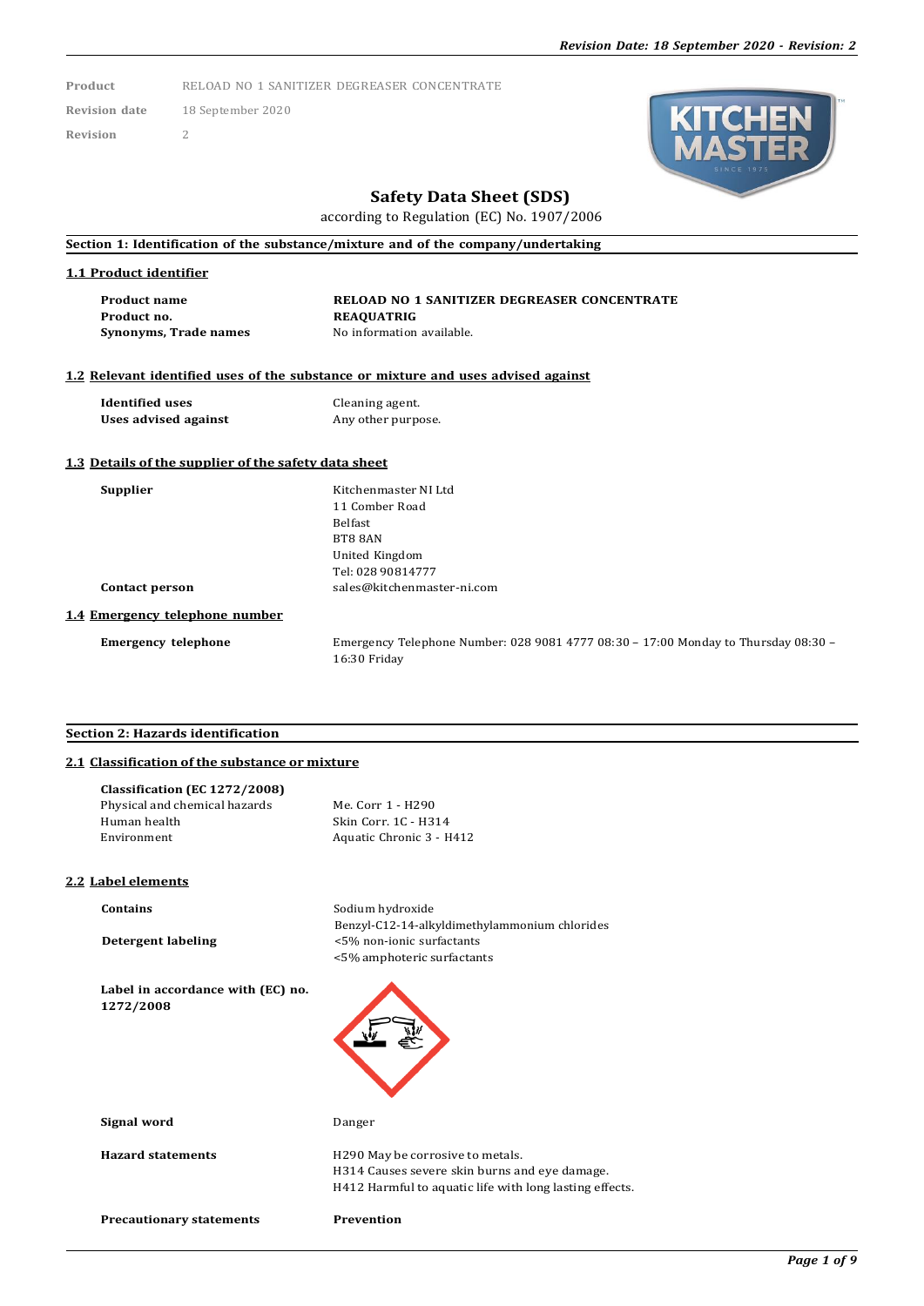**Product** RELOAD NO 1 SANITIZER DEGREASER CONCENTRATE

**Revision date** 18 September 2020 **Revision** 2



# **Safety Data Sheet (SDS)**

according to Regulation (EC) No. 1907/2006

**Section 1: Identification of the substance/mixture and of the company/undertaking**

# **1.1 Product identifier**

**Product name RELOAD NO 1 SANITIZER DEGREASER CONCENTRATE Product no. REAQUATRIG Synonyms, Trade names** No information available.

# **1.2 Relevant identified uses of the substance or mixture and uses advised against**

**Identified uses** Cleaning agent.<br> **Uses advised against** Any other purpe

Any other purpose.

#### **1.3 Details of the supplier of the safety data sheet**

**Supplier** Kitchenmaster NI Ltd 11 Comber Road Belfast BT8 8AN United Kingdom Tel: 028 90814777 **Contact person** [sales@kitchenmaster-ni.com](mailto:sales@kitchenmaster-ni.com)

#### **1.4 Emergency telephone number**

**Emergency telephone** Emergency Telephone Number: 028 9081 4777 08:30 – 17:00 Monday to Thursday 08:30 – 16:30 Friday

#### **Section 2: Hazards identification**

# **2.1 Classification of the substance or mixture**

| Me. Corr 1 - H290        |
|--------------------------|
| Skin Corr. 1C - H314     |
| Aquatic Chronic 3 - H412 |
|                          |

### **2.2 Label elements**

**Contains** Sodium hydroxide Benzyl-C12-14-alkyldimethylammonium chlorides **Detergent labeling** <5% non-ionic surfactants <5% amphoteric surfactants

**Label in accordance with (EC) no. 1272/2008**

| Signal word |  |  |
|-------------|--|--|
|             |  |  |

Hazard statements **H290** May be corrosive to metals. H314 Causes severe skin burns and eye damage. H412 Harmful to aquatic life with long lasting effects.

**Precautionary statements Prevention**

**Signal word** Danger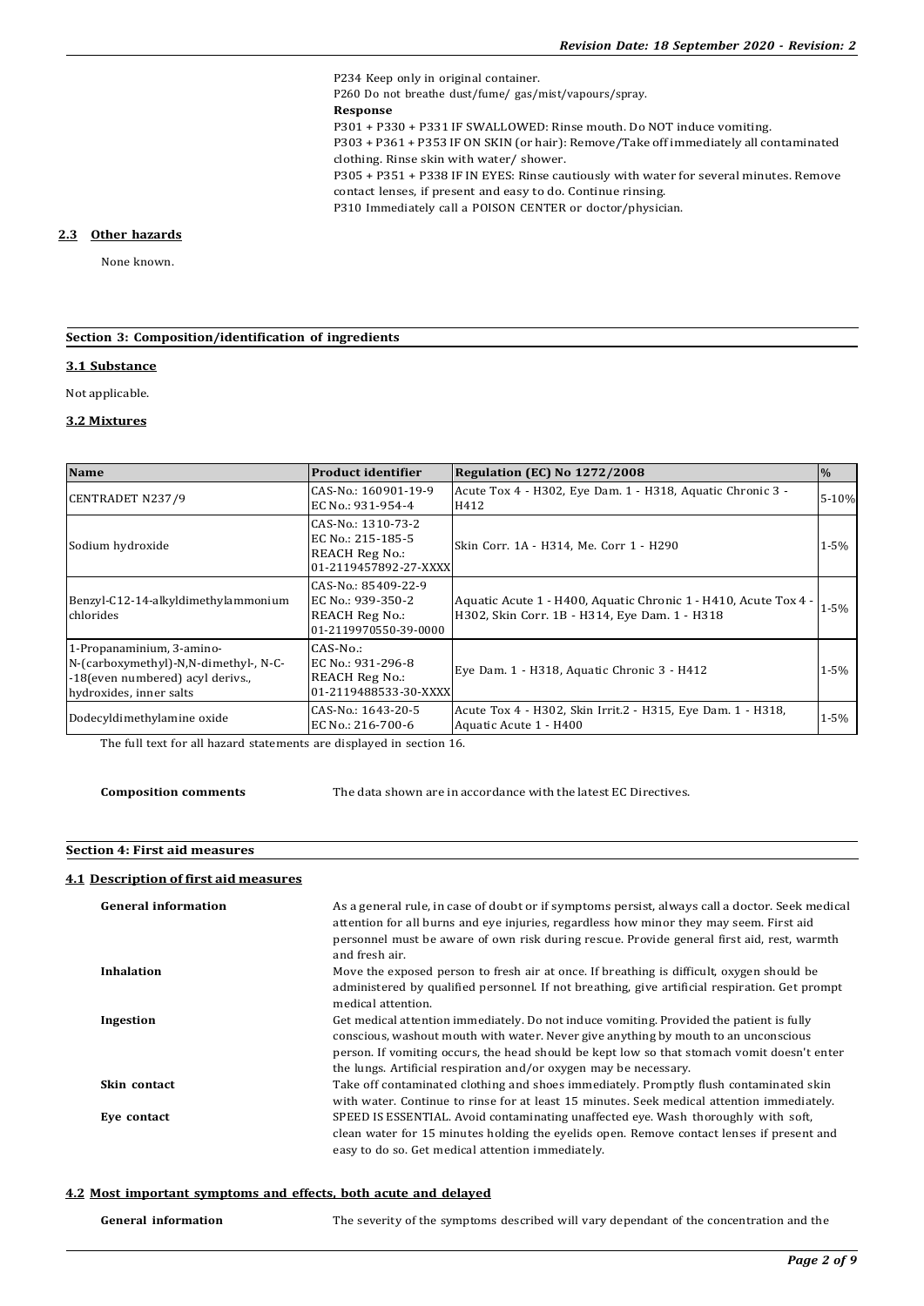P234 Keep only in original container. P260 Do not breathe dust/fume/ gas/mist/vapours/spray. **Response** P301 + P330 + P331 IF SWALLOWED: Rinse mouth. Do NOT induce vomiting. P303 + P361 + P353 IF ON SKIN (or hair): Remove/Take off immediately all contaminated clothing. Rinse skin with water/ shower. P305 + P351 + P338 IF IN EYES: Rinse cautiously with water for several minutes. Remove contact lenses, if present and easy to do. Continue rinsing. P310 Immediately call a POISON CENTER or doctor/physician.

#### **2.3 Other hazards**

None known.

# **Section 3: Composition/identification of ingredients**

#### **3.1 Substance**

Not applicable.

#### **3.2 Mixtures**

| <b>Name</b>                                                                                                                       | <b>Product identifier</b>                                                                  | Regulation (EC) No 1272/2008                                                                                     | $\frac{0}{6}$ |
|-----------------------------------------------------------------------------------------------------------------------------------|--------------------------------------------------------------------------------------------|------------------------------------------------------------------------------------------------------------------|---------------|
| <b>CENTRADET N237/9</b>                                                                                                           | CAS-No.: 160901-19-9<br>EC No.: 931-954-4                                                  | Acute Tox 4 - H302, Eye Dam. 1 - H318, Aquatic Chronic 3 -<br>H412                                               | $5 - 10%$     |
| Sodium hydroxide                                                                                                                  | CAS-No.: 1310-73-2<br>EC No.: 215-185-5<br><b>REACH Reg No.:</b><br>01-2119457892-27-XXXX  | Skin Corr. 1A - H314, Me. Corr 1 - H290                                                                          | $1 - 5%$      |
| Benzyl-C12-14-alkyldimethylammonium<br>chlorides                                                                                  | CAS-No.: 85409-22-9<br>EC No.: 939-350-2<br><b>REACH Reg No.:</b><br>01-2119970550-39-0000 | Aquatic Acute 1 - H400, Aquatic Chronic 1 - H410, Acute Tox 4 -<br>H302, Skin Corr. 1B - H314, Eye Dam. 1 - H318 | $1 - 5%$      |
| 1-Propanaminium, 3-amino-<br>N-(carboxymethyl)-N,N-dimethyl-, N-C-<br>-18 (even numbered) acyl derivs.<br>hydroxides, inner salts | $CAS-No.$ :<br>EC No.: 931-296-8<br><b>REACH Reg No.:</b><br>01-2119488533-30-XXXX         | Eye Dam. 1 - H318, Aquatic Chronic 3 - H412                                                                      | $1 - 5\%$     |
| Dodecyldimethylamine oxide                                                                                                        | CAS-No.: 1643-20-5<br>EC No.: 216-700-6                                                    | Acute Tox 4 - H302, Skin Irrit.2 - H315, Eye Dam. 1 - H318,<br>Aquatic Acute 1 - H400                            | $1 - 5%$      |

The full text for all hazard statements are displayed in section 16.

**Composition comments** The data shown are in accordance with the latest EC Directives.

#### **Section 4: First aid measures**

## **4.1 Description of first aid measures**

| <b>General information</b> | As a general rule, in case of doubt or if symptoms persist, always call a doctor. Seek medical<br>attention for all burns and eye injuries, regardless how minor they may seem. First aid<br>personnel must be aware of own risk during rescue. Provide general first aid, rest, warmth<br>and fresh air.                                           |
|----------------------------|-----------------------------------------------------------------------------------------------------------------------------------------------------------------------------------------------------------------------------------------------------------------------------------------------------------------------------------------------------|
| <b>Inhalation</b>          | Move the exposed person to fresh air at once. If breathing is difficult, oxygen should be<br>administered by qualified personnel. If not breathing, give artificial respiration. Get prompt<br>medical attention.                                                                                                                                   |
| Ingestion                  | Get medical attention immediately. Do not induce vomiting. Provided the patient is fully<br>conscious, washout mouth with water. Never give anything by mouth to an unconscious<br>person. If vomiting occurs, the head should be kept low so that stomach vomit doesn't enter<br>the lungs. Artificial respiration and/or oxygen may be necessary. |
| Skin contact               | Take off contaminated clothing and shoes immediately. Promptly flush contaminated skin<br>with water. Continue to rinse for at least 15 minutes. Seek medical attention immediately.                                                                                                                                                                |
| Eye contact                | SPEED IS ESSENTIAL. Avoid contaminating unaffected eye. Wash thoroughly with soft,<br>clean water for 15 minutes holding the eyelids open. Remove contact lenses if present and<br>easy to do so. Get medical attention immediately.                                                                                                                |

#### **4.2 Most important symptoms and effects, both acute and delayed**

| <b>General information</b> | The severity of the symptoms described will vary dependant of the concentration and the |
|----------------------------|-----------------------------------------------------------------------------------------|
|----------------------------|-----------------------------------------------------------------------------------------|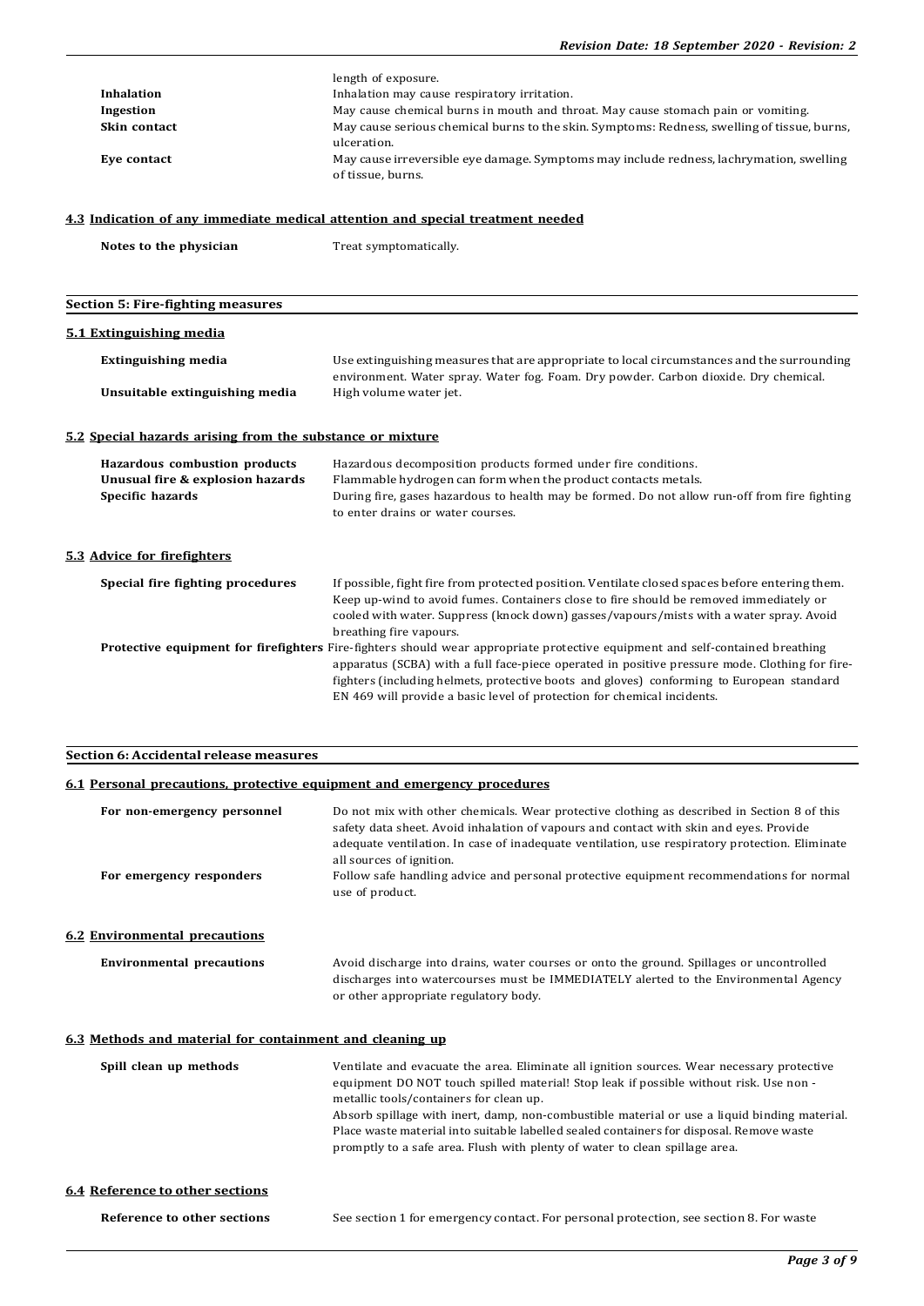|                                                                                | length of exposure.                                                                                                                                                                |  |  |  |  |
|--------------------------------------------------------------------------------|------------------------------------------------------------------------------------------------------------------------------------------------------------------------------------|--|--|--|--|
| <b>Inhalation</b>                                                              | Inhalation may cause respiratory irritation.                                                                                                                                       |  |  |  |  |
| Ingestion                                                                      | May cause chemical burns in mouth and throat. May cause stomach pain or vomiting.                                                                                                  |  |  |  |  |
| Skin contact                                                                   | May cause serious chemical burns to the skin. Symptoms: Redness, swelling of tissue, burns,<br>ulceration.                                                                         |  |  |  |  |
| Eve contact                                                                    | May cause irreversible eye damage. Symptoms may include redness, lachrymation, swelling<br>of tissue, burns.                                                                       |  |  |  |  |
| 4.3 Indication of any immediate medical attention and special treatment needed |                                                                                                                                                                                    |  |  |  |  |
| Notes to the physician                                                         | Treat symptomatically.                                                                                                                                                             |  |  |  |  |
| <b>Section 5: Fire-fighting measures</b>                                       |                                                                                                                                                                                    |  |  |  |  |
|                                                                                |                                                                                                                                                                                    |  |  |  |  |
| 5.1 Extinguishing media                                                        |                                                                                                                                                                                    |  |  |  |  |
| <b>Extinguishing media</b>                                                     | Use extinguishing measures that are appropriate to local circumstances and the surrounding<br>environment. Water spray. Water fog. Foam. Dry powder. Carbon dioxide. Dry chemical. |  |  |  |  |
| Unsuitable extinguishing media                                                 | High volume water jet.                                                                                                                                                             |  |  |  |  |
|                                                                                |                                                                                                                                                                                    |  |  |  |  |

# **5.2 Special hazards arising from the substance or mixture**

| Hazardous combustion products<br>Unusual fire & explosion hazards<br>Specific hazards | Hazardous decomposition products formed under fire conditions.<br>Flammable hydrogen can form when the product contacts metals.<br>During fire, gases hazardous to health may be formed. Do not allow run-off from fire fighting<br>to enter drains or water courses.                                                                                                                                          |
|---------------------------------------------------------------------------------------|----------------------------------------------------------------------------------------------------------------------------------------------------------------------------------------------------------------------------------------------------------------------------------------------------------------------------------------------------------------------------------------------------------------|
| 5.3 Advice for firefighters                                                           |                                                                                                                                                                                                                                                                                                                                                                                                                |
| Special fire fighting procedures                                                      | If possible, fight fire from protected position. Ventilate closed spaces before entering them.<br>Keep up-wind to avoid fumes. Containers close to fire should be removed immediately or<br>cooled with water. Suppress (knock down) gasses/vapours/mists with a water spray. Avoid<br>breathing fire vapours.                                                                                                 |
|                                                                                       | <b>Protective equipment for firefighters</b> Fire-fighters should wear appropriate protective equipment and self-contained breathing<br>apparatus (SCBA) with a full face-piece operated in positive pressure mode. Clothing for fire-<br>fighters (including helmets, protective boots and gloves) conforming to European standard<br>EN 469 will provide a basic level of protection for chemical incidents. |

# **Section 6: Accidental release measures**

# **6.1 Personal precautions, protective equipment and emergency procedures**

| For non-emergency personnel                              | Do not mix with other chemicals. Wear protective clothing as described in Section 8 of this                                                                                                                                                                             |
|----------------------------------------------------------|-------------------------------------------------------------------------------------------------------------------------------------------------------------------------------------------------------------------------------------------------------------------------|
|                                                          | safety data sheet. Avoid inhalation of vapours and contact with skin and eyes. Provide<br>adequate ventilation. In case of inadequate ventilation, use respiratory protection. Eliminate<br>all sources of ignition.                                                    |
| For emergency responders                                 | Follow safe handling advice and personal protective equipment recommendations for normal<br>use of product.                                                                                                                                                             |
| <b>6.2 Environmental precautions</b>                     |                                                                                                                                                                                                                                                                         |
| <b>Environmental precautions</b>                         | Avoid discharge into drains, water courses or onto the ground. Spillages or uncontrolled<br>discharges into watercourses must be IMMEDIATELY alerted to the Environmental Agency<br>or other appropriate regulatory body.                                               |
| 6.3 Methods and material for containment and cleaning up |                                                                                                                                                                                                                                                                         |
| Spill clean up methods                                   | Ventilate and evacuate the area. Eliminate all ignition sources. Wear necessary protective<br>equipment DO NOT touch spilled material! Stop leak if possible without risk. Use non -<br>metallic tools/containers for clean up.                                         |
|                                                          | Absorb spillage with inert, damp, non-combustible material or use a liquid binding material.<br>Place waste material into suitable labelled sealed containers for disposal. Remove waste<br>promptly to a safe area. Flush with plenty of water to clean spillage area. |
| <b>6.4 Reference to other sections</b>                   |                                                                                                                                                                                                                                                                         |
| Reference to other sections                              | See section 1 for emergency contact. For personal protection, see section 8. For waste                                                                                                                                                                                  |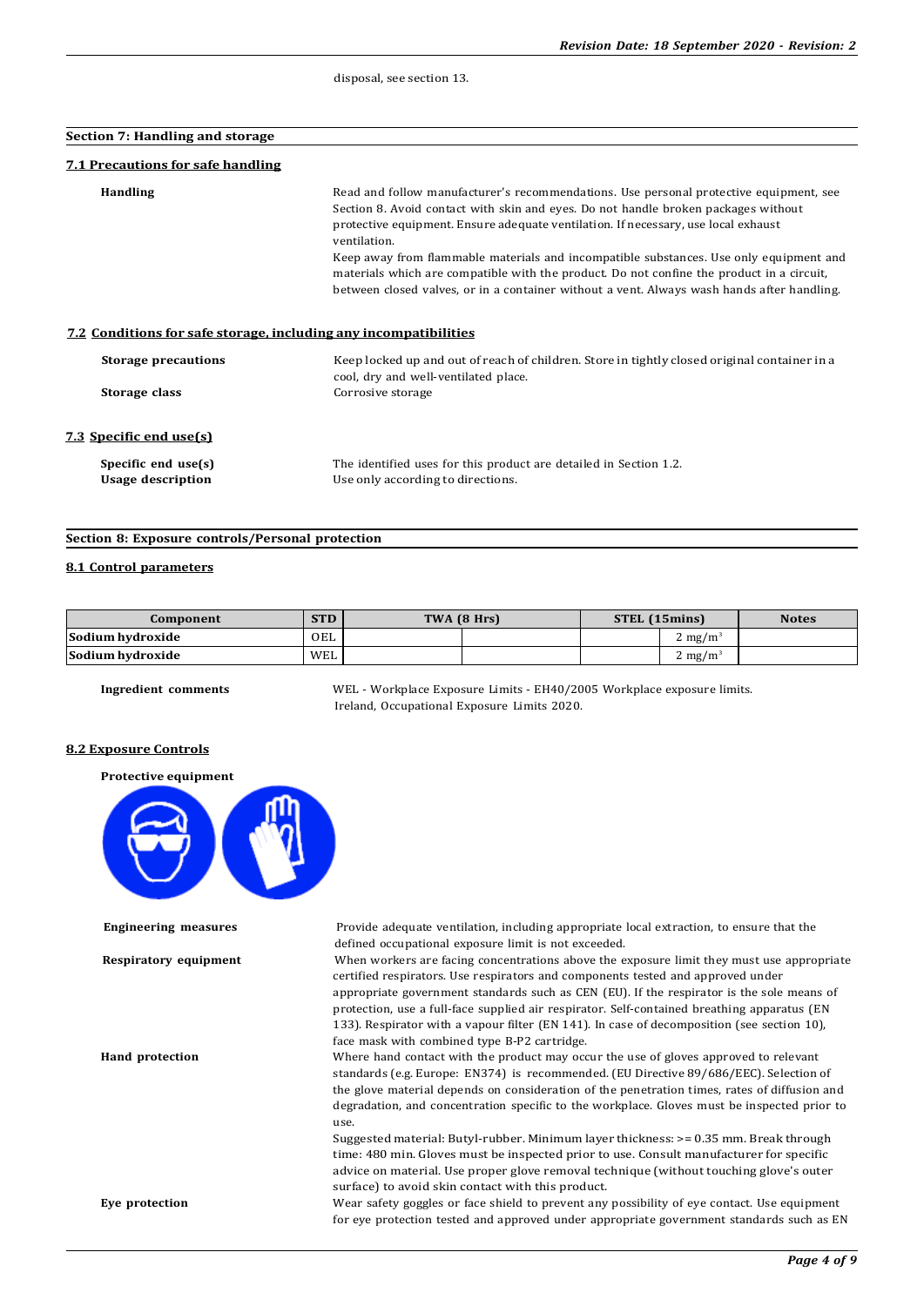disposal, see section 13.

| Section 7: Handling and storage                                  |                                                                                                                                                                                                                                                                                                                                                                              |
|------------------------------------------------------------------|------------------------------------------------------------------------------------------------------------------------------------------------------------------------------------------------------------------------------------------------------------------------------------------------------------------------------------------------------------------------------|
| <b>7.1 Precautions for safe handling</b>                         |                                                                                                                                                                                                                                                                                                                                                                              |
| <b>Handling</b>                                                  | Read and follow manufacturer's recommendations. Use personal protective equipment, see<br>Section 8. Avoid contact with skin and eyes. Do not handle broken packages without<br>protective equipment. Ensure adequate ventilation. If necessary, use local exhaust<br>ventilation.<br>Keep away from flammable materials and incompatible substances. Use only equipment and |
|                                                                  | materials which are compatible with the product. Do not confine the product in a circuit,<br>between closed valves, or in a container without a vent. Always wash hands after handling.                                                                                                                                                                                      |
| 7.2 Conditions for safe storage, including any incompatibilities |                                                                                                                                                                                                                                                                                                                                                                              |
| <b>Storage precautions</b>                                       | Keep locked up and out of reach of children. Store in tightly closed original container in a<br>cool, dry and well-ventilated place.                                                                                                                                                                                                                                         |
| Storage class                                                    | Corrosive storage                                                                                                                                                                                                                                                                                                                                                            |
| 7.3 Specific end use(s)                                          |                                                                                                                                                                                                                                                                                                                                                                              |
| Specific end use(s)<br><b>Usage description</b>                  | The identified uses for this product are detailed in Section 1.2.<br>Use only according to directions.                                                                                                                                                                                                                                                                       |

#### **Section 8: Exposure controls/Personal protection**

#### **8.1 Control parameters**

| Component        | <b>STD</b> | TWA (8 Hrs) | STEL (15mins) |                    | <b>Notes</b> |
|------------------|------------|-------------|---------------|--------------------|--------------|
| Sodium hvdroxide | OEL        |             |               | $2 \text{ mg/m}^3$ |              |
| Sodium hvdroxide | WEL        |             |               | $2 \text{ mg/m}^3$ |              |

**Ingredient comments** WEL - Workplace Exposure Limits - EH40/2005 Workplace exposure limits. Ireland, Occupational Exposure Limits 2020.

#### **8.2 Exposure Controls**

#### **Protective equipment**



**Engineering measures** Provide adequate ventilation, including appropriate local extraction, to ensure that the defined occupational exposure limit is not exceeded.

**Respiratory equipment** When workers are facing concentrations above the exposure limit they must use appropriate certified respirators. Use respirators and components tested and approved under appropriate government standards such as CEN (EU). If the respirator is the sole means of protection, use a full-face supplied air respirator. Self-contained breathing apparatus (EN 133). Respirator with a vapour filter (EN 141). In case of decomposition (see section 10), face mask with combined type B-P2 cartridge.

**Hand protection** Where hand contact with the product may occur the use of gloves approved to relevant standards (e.g. Europe: EN374) is recommended. (EU Directive 89/686/EEC). Selection of the glove material depends on consideration of the penetration times, rates of diffusion and degradation, and concentration specific to the workplace. Gloves must be inspected prior to use.

> Suggested material: Butyl-rubber. Minimum layer thickness: >= 0.35 mm. Break through time: 480 min. Gloves must be inspected prior to use. Consult manufacturer for specific advice on material. Use proper glove removal technique (without touching glove's outer surface) to avoid skin contact with this product.

**Eye protection** Wear safety goggles or face shield to prevent any possibility of eye contact. Use equipment for eye protection tested and approved under appropriate government standards such as EN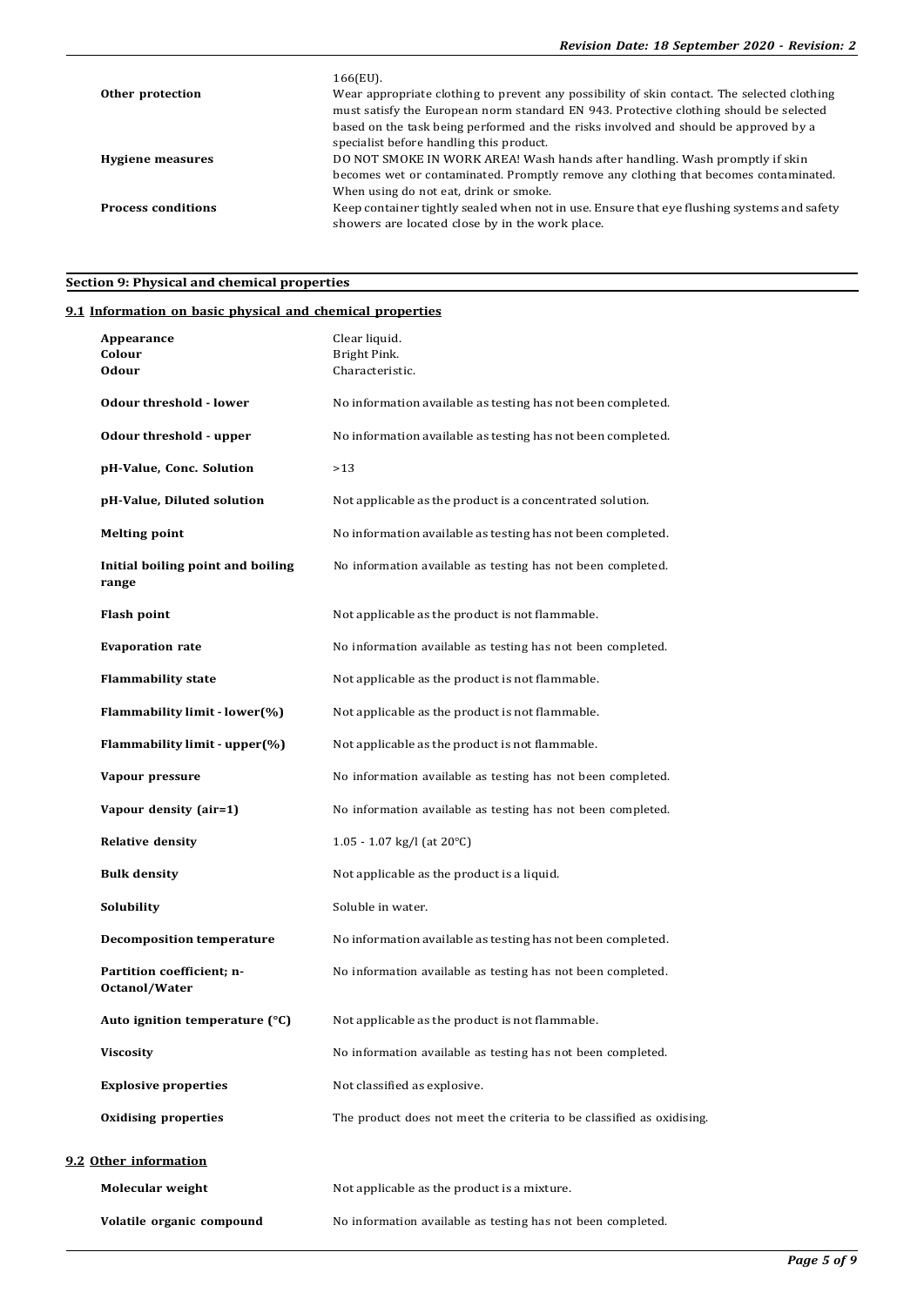|                           | 166(EU).                                                                                                                                                                                                                                                                                                                  |
|---------------------------|---------------------------------------------------------------------------------------------------------------------------------------------------------------------------------------------------------------------------------------------------------------------------------------------------------------------------|
| Other protection          | Wear appropriate clothing to prevent any possibility of skin contact. The selected clothing<br>must satisfy the European norm standard EN 943. Protective clothing should be selected<br>based on the task being performed and the risks involved and should be approved by a<br>specialist before handling this product. |
| <b>Hygiene measures</b>   | DO NOT SMOKE IN WORK AREA! Wash hands after handling. Wash promptly if skin<br>becomes wet or contaminated. Promptly remove any clothing that becomes contaminated.<br>When using do not eat, drink or smoke.                                                                                                             |
| <b>Process conditions</b> | Keep container tightly sealed when not in use. Ensure that eye flushing systems and safety<br>showers are located close by in the work place.                                                                                                                                                                             |

# **Section 9: Physical and chemical properties**

# **9.1 Information on basic physical and chemical properties**

| Appearance<br>Colour<br><b>Odour</b>       | Clear liquid.<br>Bright Pink.<br>Characteristic.                      |
|--------------------------------------------|-----------------------------------------------------------------------|
| <b>Odour threshold - lower</b>             | No information available as testing has not been completed.           |
| Odour threshold - upper                    | No information available as testing has not been completed.           |
| pH-Value, Conc. Solution                   | >13                                                                   |
|                                            |                                                                       |
| pH-Value, Diluted solution                 | Not applicable as the product is a concentrated solution.             |
| <b>Melting point</b>                       | No information available as testing has not been completed.           |
| Initial boiling point and boiling<br>range | No information available as testing has not been completed.           |
| Flash point                                | Not applicable as the product is not flammable.                       |
| <b>Evaporation rate</b>                    | No information available as testing has not been completed.           |
| <b>Flammability state</b>                  | Not applicable as the product is not flammable.                       |
| Flammability limit - lower(%)              | Not applicable as the product is not flammable.                       |
| Flammability limit - upper(%)              | Not applicable as the product is not flammable.                       |
| Vapour pressure                            | No information available as testing has not been completed.           |
| Vapour density (air=1)                     | No information available as testing has not been completed.           |
| <b>Relative density</b>                    | 1.05 - 1.07 kg/l (at $20^{\circ}$ C)                                  |
| <b>Bulk density</b>                        | Not applicable as the product is a liquid.                            |
| Solubility                                 | Soluble in water.                                                     |
| <b>Decomposition temperature</b>           | No information available as testing has not been completed.           |
| Partition coefficient; n-<br>Octanol/Water | No information available as testing has not been completed.           |
| Auto ignition temperature $(^{\circ}C)$    | Not applicable as the product is not flammable.                       |
| <b>Viscosity</b>                           | No information available as testing has not been completed.           |
| <b>Explosive properties</b>                | Not classified as explosive.                                          |
| <b>Oxidising properties</b>                | The product does not meet the criteria to be classified as oxidising. |
| 9.2 Other information                      |                                                                       |
| Molecular weight                           | Not applicable as the product is a mixture.                           |
| Volatile organic compound                  | No information available as testing has not been completed.           |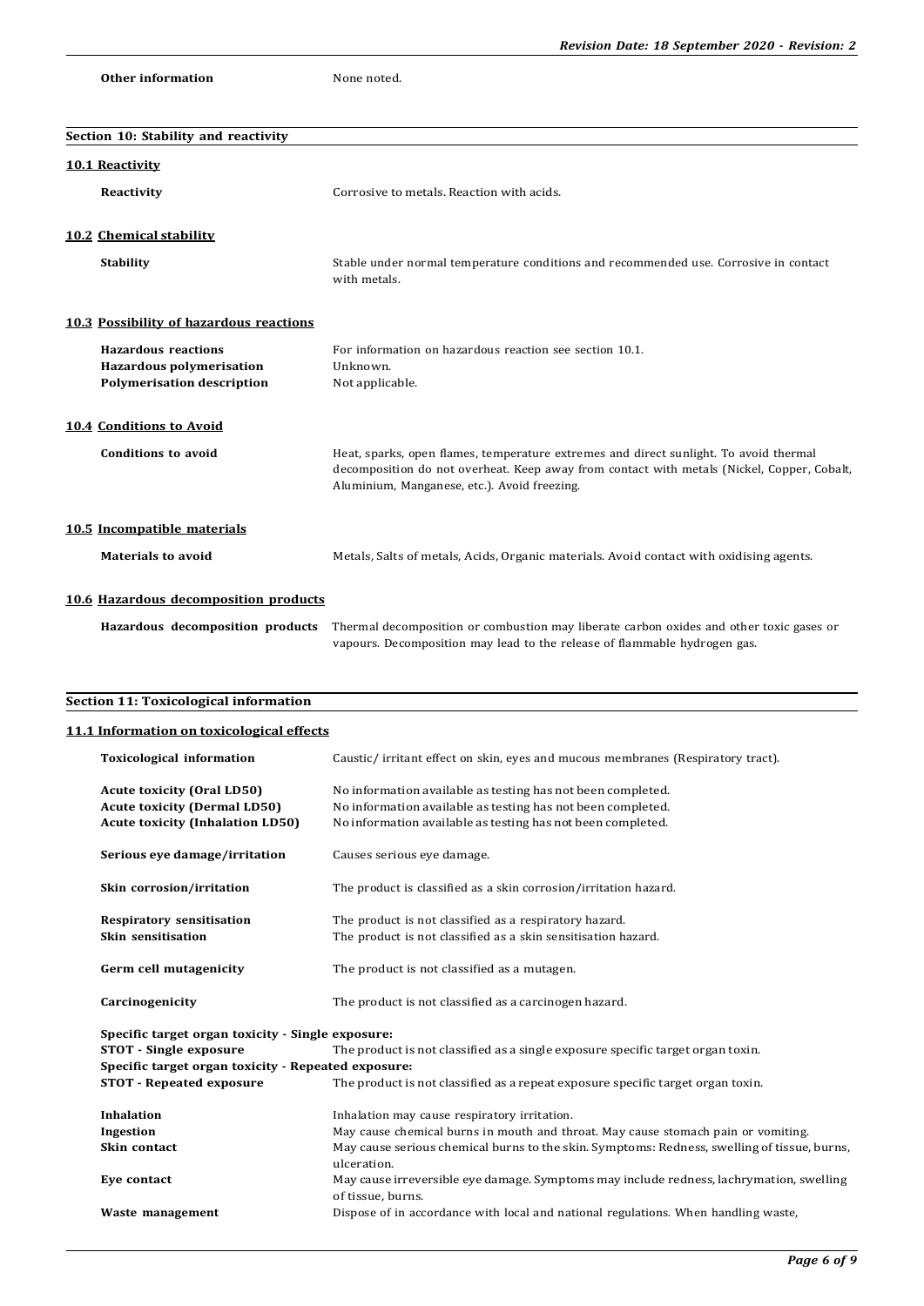|  |  | <b>Other information</b> |
|--|--|--------------------------|
|--|--|--------------------------|

None noted.

| Section 10: Stability and reactivity                                                                                |                                                                                                                                                                                                                                     |
|---------------------------------------------------------------------------------------------------------------------|-------------------------------------------------------------------------------------------------------------------------------------------------------------------------------------------------------------------------------------|
| <b>10.1 Reactivity</b>                                                                                              |                                                                                                                                                                                                                                     |
| Reactivity                                                                                                          | Corrosive to metals. Reaction with acids.                                                                                                                                                                                           |
| 10.2 Chemical stability                                                                                             |                                                                                                                                                                                                                                     |
| <b>Stability</b>                                                                                                    | Stable under normal temperature conditions and recommended use. Corrosive in contact<br>with metals.                                                                                                                                |
| 10.3 Possibility of hazardous reactions                                                                             |                                                                                                                                                                                                                                     |
| <b>Hazardous reactions</b><br><b>Hazardous polymerisation</b><br><b>Polymerisation description</b>                  | For information on hazardous reaction see section 10.1.<br>Unknown.<br>Not applicable.                                                                                                                                              |
| <b>10.4 Conditions to Avoid</b>                                                                                     |                                                                                                                                                                                                                                     |
| <b>Conditions to avoid</b>                                                                                          | Heat, sparks, open flames, temperature extremes and direct sunlight. To avoid thermal<br>decomposition do not overheat. Keep away from contact with metals (Nickel, Copper, Cobalt,<br>Aluminium, Manganese, etc.). Avoid freezing. |
| 10.5 Incompatible materials                                                                                         |                                                                                                                                                                                                                                     |
| <b>Materials to avoid</b>                                                                                           | Metals, Salts of metals, Acids, Organic materials. Avoid contact with oxidising agents.                                                                                                                                             |
| 10.6 Hazardous decomposition products                                                                               |                                                                                                                                                                                                                                     |
| Hazardous decomposition products                                                                                    | Thermal decomposition or combustion may liberate carbon oxides and other toxic gases or<br>vapours. Decomposition may lead to the release of flammable hydrogen gas.                                                                |
| Section 11: Toxicological information                                                                               |                                                                                                                                                                                                                                     |
| 11.1 Information on toxicological effects                                                                           |                                                                                                                                                                                                                                     |
| <b>Toxicological information</b>                                                                                    | Caustic/ irritant effect on skin, eyes and mucous membranes (Respiratory tract).                                                                                                                                                    |
| <b>Acute toxicity (Oral LD50)</b><br><b>Acute toxicity (Dermal LD50)</b><br><b>Acute toxicity (Inhalation LD50)</b> | No information available as testing has not been completed.<br>No information available as testing has not been completed.<br>No information available as testing has not been completed.                                           |
| Serious eye damage/irritation                                                                                       | Causes serious eye damage.                                                                                                                                                                                                          |
| Skin corrosion/irritation                                                                                           | The product is classified as a skin corrosion/irritation hazard.                                                                                                                                                                    |
| <b>Respiratory sensitisation</b><br>Skin sensitisation                                                              | The product is not classified as a respiratory hazard.<br>The product is not classified as a skin sensitisation hazard.                                                                                                             |
| Germ cell mutagenicity                                                                                              | The product is not classified as a mutagen.                                                                                                                                                                                         |
| Carcinogenicity                                                                                                     | The product is not classified as a carcinogen hazard.                                                                                                                                                                               |
| Specific target organ toxicity - Single exposure:<br><b>STOT</b> - Single exposure                                  | The product is not classified as a single exposure specific target organ toxin.                                                                                                                                                     |
| <b>STOT - Repeated exposure</b>                                                                                     | Specific target organ toxicity - Repeated exposure:<br>The product is not classified as a repeat exposure specific target organ toxin.                                                                                              |
| Inhalation<br>Ingestion                                                                                             | Inhalation may cause respiratory irritation.<br>May cause chemical burns in mouth and throat. May cause stomach pain or vomiting.                                                                                                   |
| Skin contact                                                                                                        | May cause serious chemical burns to the skin. Symptoms: Redness, swelling of tissue, burns,<br>ulceration.                                                                                                                          |
| Eye contact                                                                                                         | May cause irreversible eye damage. Symptoms may include redness, lachrymation, swelling<br>of tissue, burns.                                                                                                                        |

Waste management **Dispose of in accordance with local and national regulations. When handling waste,**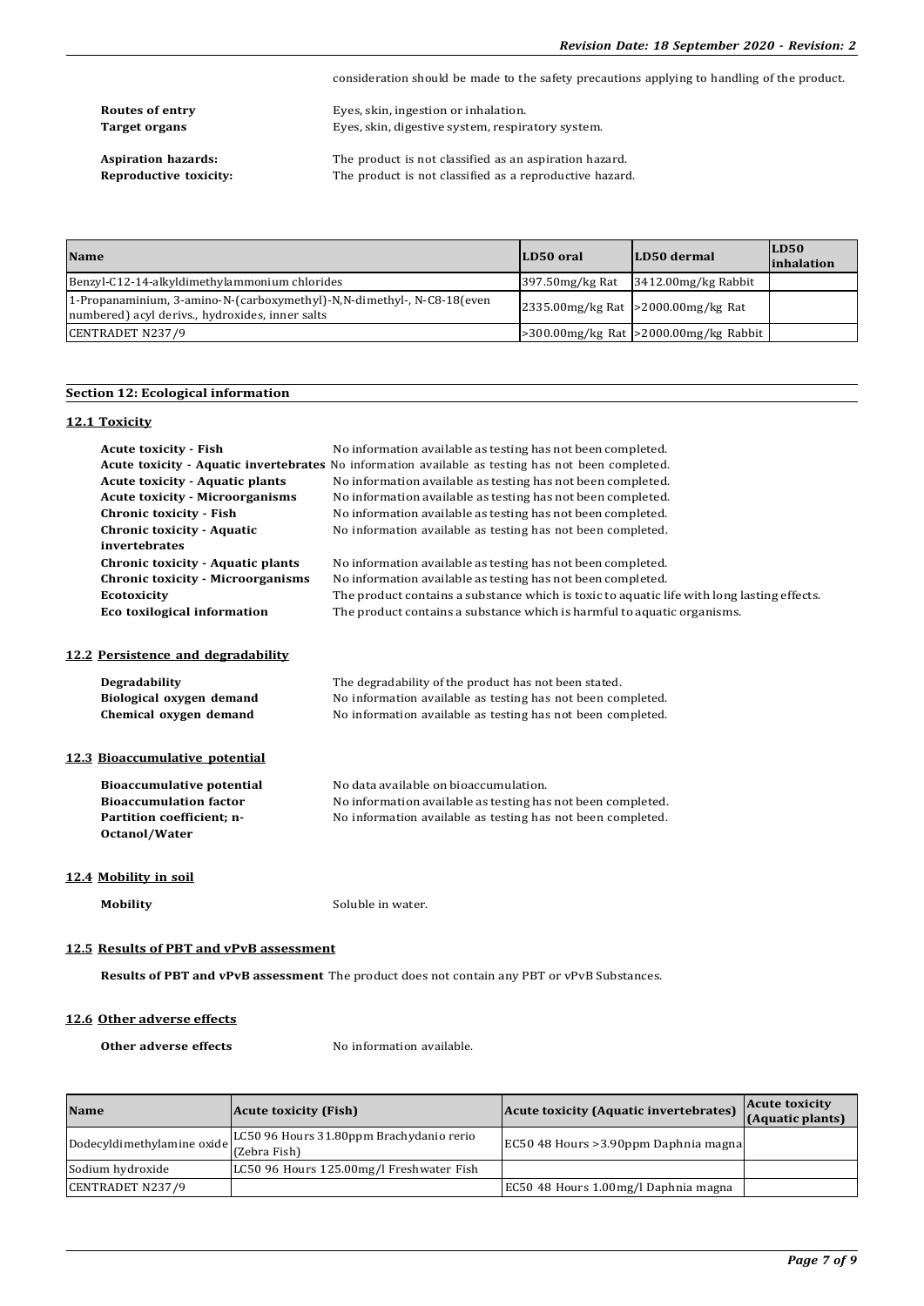consideration should be made to the safety precautions applying to handling of the product. **Routes of entry** Eyes, skin, ingestion or inhalation.<br> **Target organs** Eyes, skin, digestive system, respirently Eyes, skin, digestive system, respiratory system. **Aspiration hazards:** The product is not classified as an aspiration hazard.<br>**Reproductive toxicity:** The product is not classified as a reproductive hazard. The product is not classified as a reproductive hazard.

| <b>Name</b>                                                                                                                | LD50 oral | LD50 dermal                                       | LD50<br><i>inhalation</i> |
|----------------------------------------------------------------------------------------------------------------------------|-----------|---------------------------------------------------|---------------------------|
| Benzyl-C12-14-alkyldimethylammonium chlorides                                                                              |           | $397.50$ mg/kg Rat $3412.00$ mg/kg Rabbit         |                           |
| 1-Propanaminium, 3-amino-N-(carboxymethyl)-N,N-dimethyl-, N-C8-18 (even<br>numbered) acyl derivs., hydroxides, inner salts |           | $ 2335.00$ mg/kg Rat $ >2000.00$ mg/kg Rat        |                           |
| CENTRADET N237/9                                                                                                           |           | $\geq$ 300.00mg/kg Rat $\geq$ 2000.00mg/kg Rabbit |                           |

# **Section 12: Ecological information**

#### **12.1 Toxicity**

| <b>Acute toxicity - Fish</b>                                                                | No information available as testing has not been completed.                                        |  |
|---------------------------------------------------------------------------------------------|----------------------------------------------------------------------------------------------------|--|
|                                                                                             | Acute toxicity - Aquatic invertebrates No information available as testing has not been completed. |  |
| <b>Acute toxicity - Aquatic plants</b>                                                      | No information available as testing has not been completed.                                        |  |
| <b>Acute toxicity - Microorganisms</b>                                                      | No information available as testing has not been completed.                                        |  |
| <b>Chronic toxicity - Fish</b>                                                              | No information available as testing has not been completed.                                        |  |
| <b>Chronic toxicity - Aquatic</b>                                                           | No information available as testing has not been completed.                                        |  |
| invertebrates                                                                               |                                                                                                    |  |
| Chronic toxicity - Aquatic plants                                                           | No information available as testing has not been completed.                                        |  |
| <b>Chronic toxicity - Microorganisms</b>                                                    | No information available as testing has not been completed.                                        |  |
| <b>Ecotoxicity</b>                                                                          | The product contains a substance which is toxic to aquatic life with long lasting effects.         |  |
| Eco toxilogical information                                                                 | The product contains a substance which is harmful to aquatic organisms.                            |  |
|                                                                                             |                                                                                                    |  |
| 12.2 Persistence and degradability                                                          |                                                                                                    |  |
| <b>Degradability</b>                                                                        | The degradability of the product has not been stated.                                              |  |
| Biological oxygen demand                                                                    | No information available as testing has not been completed.                                        |  |
| Chemical oxygen demand                                                                      | No information available as testing has not been completed.                                        |  |
|                                                                                             |                                                                                                    |  |
| 12.3 Bioaccumulative potential                                                              |                                                                                                    |  |
| <b>Bioaccumulative potential</b>                                                            | No data available on bioaccumulation.                                                              |  |
| <b>Bioaccumulation factor</b>                                                               | No information available as testing has not been completed.                                        |  |
| Partition coefficient; n-                                                                   | No information available as testing has not been completed.                                        |  |
| Octanol/Water                                                                               |                                                                                                    |  |
|                                                                                             |                                                                                                    |  |
| 12.4 Mobility in soil                                                                       |                                                                                                    |  |
|                                                                                             |                                                                                                    |  |
| <b>Mobility</b>                                                                             | Soluble in water.                                                                                  |  |
|                                                                                             |                                                                                                    |  |
| 12.5 Results of PBT and vPvB assessment                                                     |                                                                                                    |  |
| Results of PBT and vPvB assessment The product does not contain any PBT or vPvB Substances. |                                                                                                    |  |

# **12.6 Other adverse effects**

**Other adverse effects** No information available.

| <b>Name</b>                             | <b>Acute toxicity (Fish)</b>             | Acute toxicity (Aquatic invertebrates) | <b>Acute toxicity</b><br>(Aquatic plants) |
|-----------------------------------------|------------------------------------------|----------------------------------------|-------------------------------------------|
| Dodecyldimethylamine oxide (Zebra Fish) | LC50 96 Hours 31.80ppm Brachydanio rerio | EC50 48 Hours > 3.90ppm Daphnia magna  |                                           |
| Sodium hydroxide                        | LC50 96 Hours 125.00mg/l Freshwater Fish |                                        |                                           |
| CENTRADET N237/9                        |                                          | EC50 48 Hours 1.00mg/l Daphnia magna   |                                           |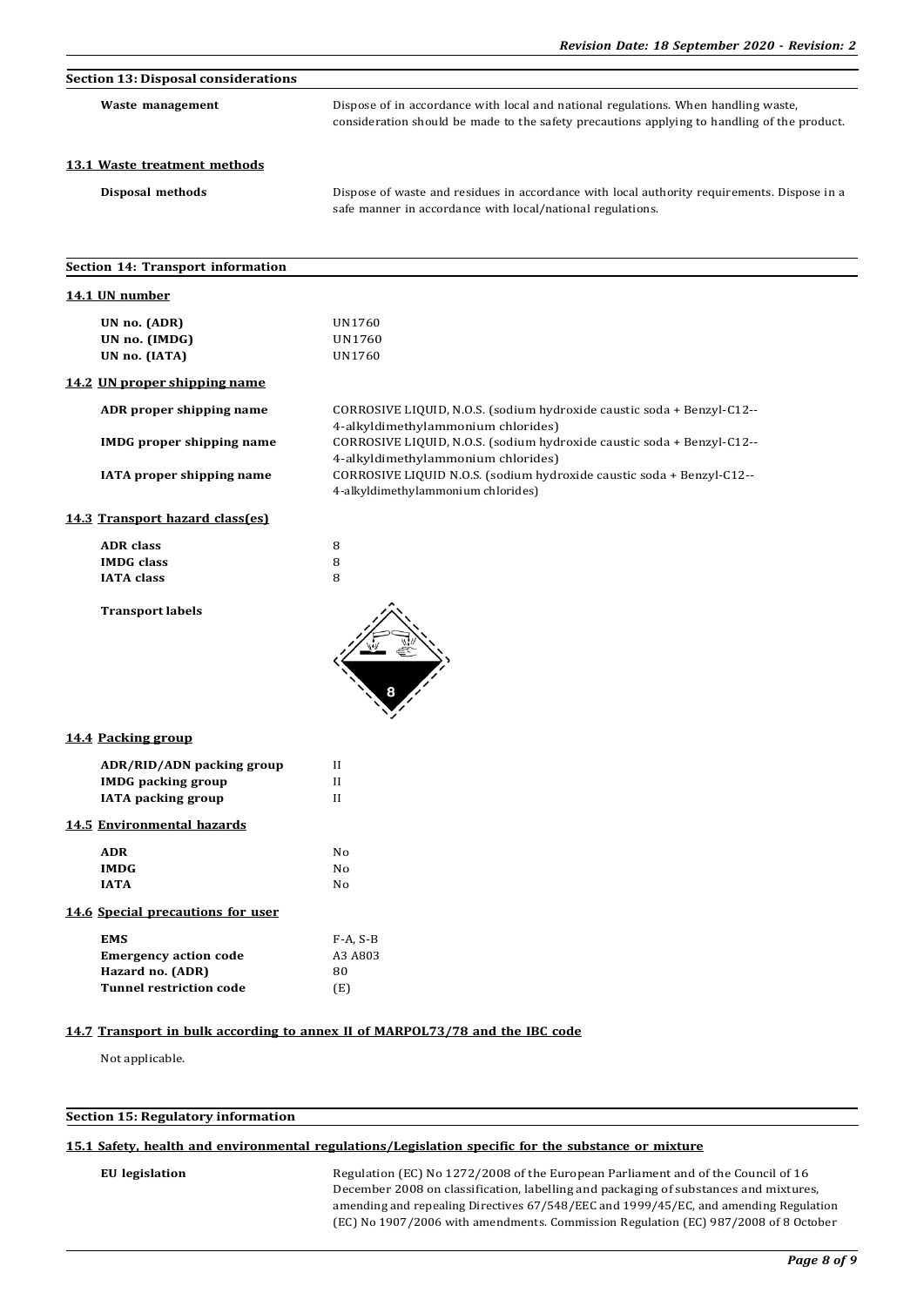| <b>Section 13: Disposal considerations</b>                                                       |                                                                                                                                                                                   |
|--------------------------------------------------------------------------------------------------|-----------------------------------------------------------------------------------------------------------------------------------------------------------------------------------|
| Waste management                                                                                 | Dispose of in accordance with local and national regulations. When handling waste,<br>consideration should be made to the safety precautions applying to handling of the product. |
| 13.1 Waste treatment methods                                                                     |                                                                                                                                                                                   |
| Disposal methods                                                                                 | Dispose of waste and residues in accordance with local authority requirements. Dispose in a<br>safe manner in accordance with local/national regulations.                         |
| Section 14: Transport information                                                                |                                                                                                                                                                                   |
| 14.1 UN number                                                                                   |                                                                                                                                                                                   |
| UN no. (ADR)<br>UN no. (IMDG)<br>UN no. (IATA)                                                   | UN1760<br>UN1760<br>UN1760                                                                                                                                                        |
| 14.2 UN proper shipping name                                                                     |                                                                                                                                                                                   |
| ADR proper shipping name                                                                         | CORROSIVE LIQUID, N.O.S. (sodium hydroxide caustic soda + Benzyl-C12--                                                                                                            |
| <b>IMDG</b> proper shipping name                                                                 | 4-alkyldimethylammonium chlorides)<br>CORROSIVE LIQUID, N.O.S. (sodium hydroxide caustic soda + Benzyl-C12--<br>4-alkyldimethylammonium chlorides)                                |
| <b>IATA</b> proper shipping name                                                                 | CORROSIVE LIQUID N.O.S. (sodium hydroxide caustic soda + Benzyl-C12--<br>4-alkyldimethylammonium chlorides)                                                                       |
| 14.3 Transport hazard class(es)                                                                  |                                                                                                                                                                                   |
| <b>ADR</b> class<br><b>IMDG</b> class<br><b>IATA</b> class                                       | 8<br>8<br>8                                                                                                                                                                       |
| <b>Transport labels</b>                                                                          |                                                                                                                                                                                   |
| 14.4 Packing group                                                                               |                                                                                                                                                                                   |
| ADR/RID/ADN packing group<br><b>IMDG</b> packing group                                           | П<br>И                                                                                                                                                                            |
| <b>IATA</b> packing group                                                                        | $\mathbf{I}$                                                                                                                                                                      |
| 14.5 Environmental hazards                                                                       |                                                                                                                                                                                   |
| <b>ADR</b>                                                                                       | No                                                                                                                                                                                |
| <b>IMDG</b><br><b>IATA</b>                                                                       | No<br>No                                                                                                                                                                          |
| 14.6 Special precautions for user                                                                |                                                                                                                                                                                   |
| <b>EMS</b><br><b>Emergency action code</b><br>Hazard no. (ADR)<br><b>Tunnel restriction code</b> | $F-A, S-B$<br>A3 A803<br>80<br>(E)                                                                                                                                                |

## **14.7 Transport in bulk according to annex II of MARPOL73/78 and the IBC code**

Not applicable.

# **Section 15: Regulatory information**

# **15.1 Safety, health and environmental regulations/Legislation specific for the substance or mixture**

EU legislation **Regulation** (EC) No 1272/2008 of the European Parliament and of the Council of 16 December 2008 on classification, labelling and packaging of substances and mixtures, amending and repealing Directives 67/548/EEC and 1999/45/EC, and amending Regulation (EC) No 1907/2006 with amendments. Commission Regulation (EC) 987/2008 of 8 October